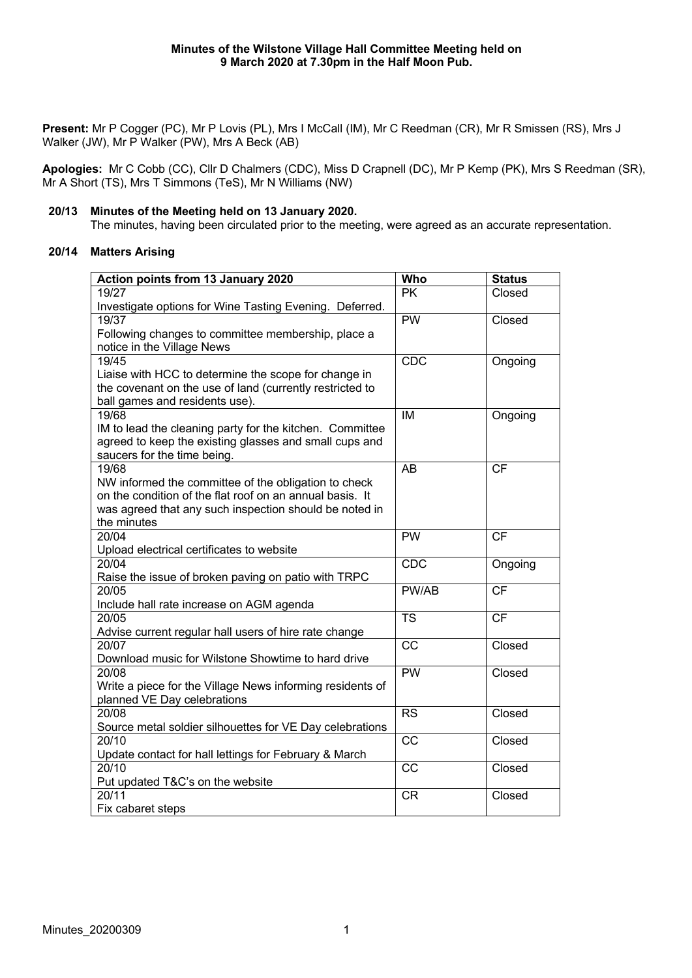**Present:** Mr P Cogger (PC), Mr P Lovis (PL), Mrs I McCall (IM), Mr C Reedman (CR), Mr R Smissen (RS), Mrs J Walker (JW), Mr P Walker (PW), Mrs A Beck (AB)

**Apologies:** Mr C Cobb (CC), Cllr D Chalmers (CDC), Miss D Crapnell (DC), Mr P Kemp (PK), Mrs S Reedman (SR), Mr A Short (TS), Mrs T Simmons (TeS), Mr N Williams (NW)

### **20/13 Minutes of the Meeting held on 13 January 2020.**

The minutes, having been circulated prior to the meeting, were agreed as an accurate representation.

## **20/14 Matters Arising**

| Action points from 13 January 2020                        | Who                    | <b>Status</b> |
|-----------------------------------------------------------|------------------------|---------------|
| 19/27                                                     | <b>PK</b>              | Closed        |
| Investigate options for Wine Tasting Evening. Deferred.   |                        |               |
| 19/37                                                     | PW                     | Closed        |
| Following changes to committee membership, place a        |                        |               |
| notice in the Village News                                |                        |               |
| 19/45                                                     | <b>CDC</b>             | Ongoing       |
| Liaise with HCC to determine the scope for change in      |                        |               |
| the covenant on the use of land (currently restricted to  |                        |               |
| ball games and residents use).                            |                        |               |
| 19/68                                                     | IM                     | Ongoing       |
| IM to lead the cleaning party for the kitchen. Committee  |                        |               |
| agreed to keep the existing glasses and small cups and    |                        |               |
| saucers for the time being.                               |                        |               |
| 19/68                                                     | <b>AB</b>              | <b>CF</b>     |
| NW informed the committee of the obligation to check      |                        |               |
| on the condition of the flat roof on an annual basis. It  |                        |               |
| was agreed that any such inspection should be noted in    |                        |               |
| the minutes                                               |                        |               |
| 20/04                                                     | <b>PW</b>              | <b>CF</b>     |
| Upload electrical certificates to website                 |                        |               |
| 20/04                                                     | <b>CDC</b>             | Ongoing       |
| Raise the issue of broken paving on patio with TRPC       |                        |               |
| 20/05                                                     | PW/AB                  | <b>CF</b>     |
| Include hall rate increase on AGM agenda                  |                        |               |
| 20/05                                                     | $\overline{\text{TS}}$ | CF            |
| Advise current regular hall users of hire rate change     |                        |               |
| 20/07                                                     | $\overline{cc}$        | Closed        |
| Download music for Wilstone Showtime to hard drive        |                        |               |
| 20/08                                                     | PW                     | Closed        |
| Write a piece for the Village News informing residents of |                        |               |
| planned VE Day celebrations                               |                        |               |
| 20/08                                                     | <b>RS</b>              | Closed        |
| Source metal soldier silhouettes for VE Day celebrations  |                        |               |
| 20/10                                                     | <b>CC</b>              | Closed        |
| Update contact for hall lettings for February & March     |                        |               |
| 20/10                                                     | CC                     | Closed        |
| Put updated T&C's on the website                          |                        |               |
| 20/11                                                     | <b>CR</b>              | Closed        |
| Fix cabaret steps                                         |                        |               |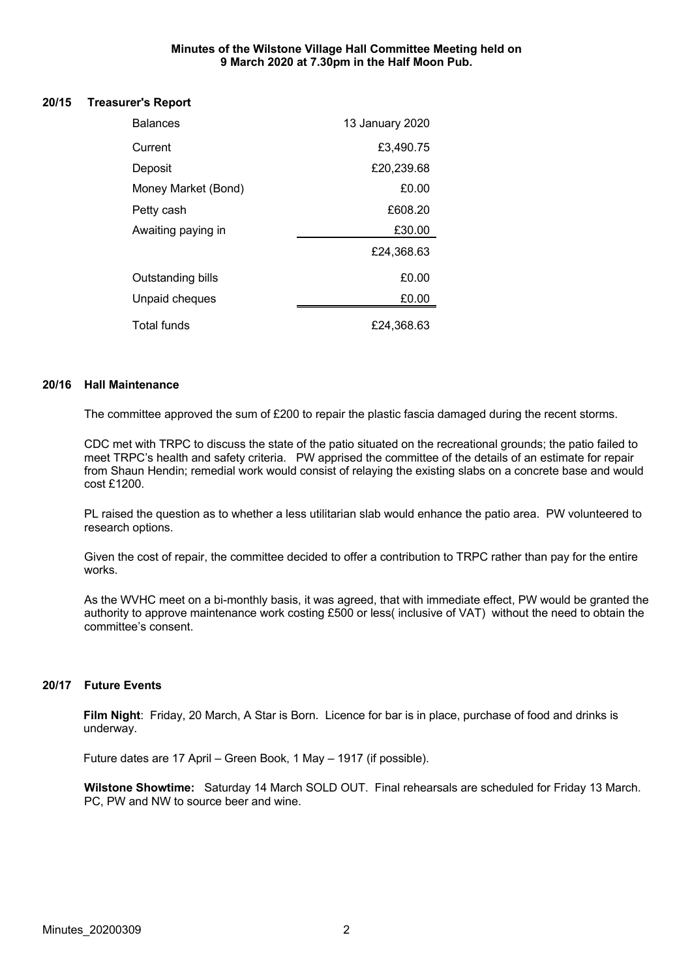#### **Minutes of the Wilstone Village Hall Committee Meeting held on 9 March 2020 at 7.30pm in the Half Moon Pub.**

#### **20/15 Treasurer's Report**

| <b>Balances</b>          | 13 January 2020 |
|--------------------------|-----------------|
| Current                  | £3,490.75       |
| Deposit                  | £20,239.68      |
| Money Market (Bond)      | £0.00           |
| Petty cash               | £608.20         |
| Awaiting paying in       | £30.00          |
|                          | £24,368.63      |
| <b>Outstanding bills</b> | £0.00           |
| Unpaid cheques           | £0.00           |
| <b>Total funds</b>       | £24,368.63      |

#### **20/16 Hall Maintenance**

The committee approved the sum of £200 to repair the plastic fascia damaged during the recent storms.

CDC met with TRPC to discuss the state of the patio situated on the recreational grounds; the patio failed to meet TRPC's health and safety criteria. PW apprised the committee of the details of an estimate for repair from Shaun Hendin; remedial work would consist of relaying the existing slabs on a concrete base and would cost £1200.

PL raised the question as to whether a less utilitarian slab would enhance the patio area. PW volunteered to research options.

Given the cost of repair, the committee decided to offer a contribution to TRPC rather than pay for the entire works.

As the WVHC meet on a bi-monthly basis, it was agreed, that with immediate effect, PW would be granted the authority to approve maintenance work costing £500 or less( inclusive of VAT) without the need to obtain the committee's consent.

## **20/17 Future Events**

**Film Night**: Friday, 20 March, A Star is Born. Licence for bar is in place, purchase of food and drinks is underway.

Future dates are 17 April – Green Book, 1 May – 1917 (if possible).

**Wilstone Showtime:** Saturday 14 March SOLD OUT.Final rehearsals are scheduled for Friday 13 March. PC, PW and NW to source beer and wine.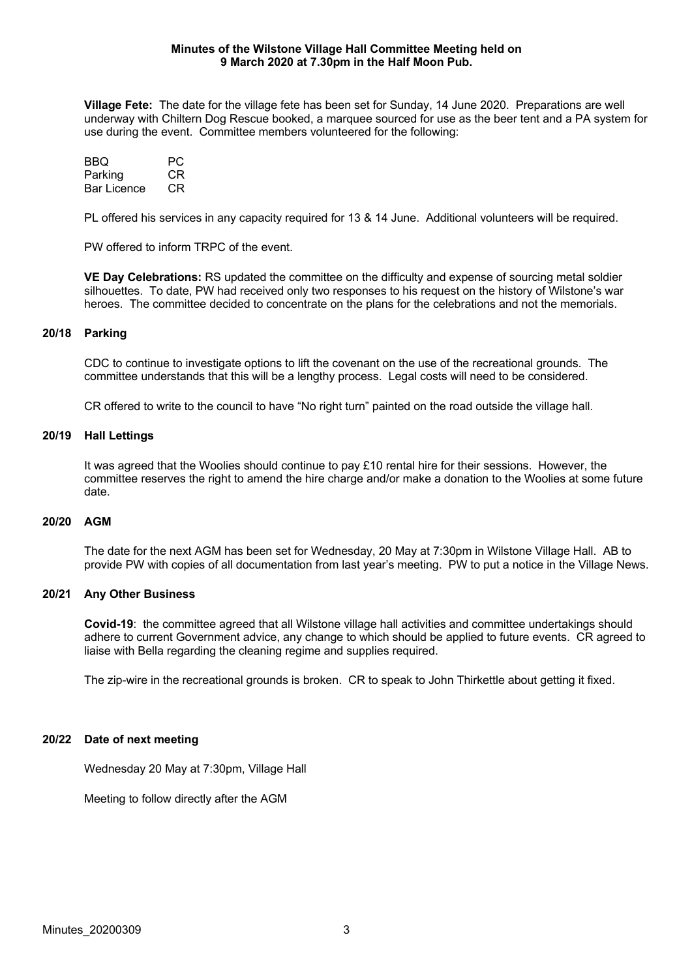#### **Minutes of the Wilstone Village Hall Committee Meeting held on 9 March 2020 at 7.30pm in the Half Moon Pub.**

**Village Fete:** The date for the village fete has been set for Sunday, 14 June 2020. Preparations are well underway with Chiltern Dog Rescue booked, a marquee sourced for use as the beer tent and a PA system for use during the event. Committee members volunteered for the following:

| BBQ                | PC. |
|--------------------|-----|
| Parking            | CR. |
| <b>Bar Licence</b> | CR. |

PL offered his services in any capacity required for 13 & 14 June. Additional volunteers will be required.

PW offered to inform TRPC of the event.

**VE Day Celebrations:** RS updated the committee on the difficulty and expense of sourcing metal soldier silhouettes. To date, PW had received only two responses to his request on the history of Wilstone's war heroes. The committee decided to concentrate on the plans for the celebrations and not the memorials.

#### **20/18 Parking**

CDC to continue to investigate options to lift the covenant on the use of the recreational grounds. The committee understands that this will be a lengthy process. Legal costs will need to be considered.

CR offered to write to the council to have "No right turn" painted on the road outside the village hall.

#### **20/19 Hall Lettings**

It was agreed that the Woolies should continue to pay £10 rental hire for their sessions. However, the committee reserves the right to amend the hire charge and/or make a donation to the Woolies at some future date.

#### **20/20 AGM**

The date for the next AGM has been set for Wednesday, 20 May at 7:30pm in Wilstone Village Hall. AB to provide PW with copies of all documentation from last year's meeting. PW to put a notice in the Village News.

#### **20/21 Any Other Business**

**Covid-19**: the committee agreed that all Wilstone village hall activities and committee undertakings should adhere to current Government advice, any change to which should be applied to future events. CR agreed to liaise with Bella regarding the cleaning regime and supplies required.

The zip-wire in the recreational grounds is broken. CR to speak to John Thirkettle about getting it fixed.

#### **20/22 Date of next meeting**

Wednesday 20 May at 7:30pm, Village Hall

Meeting to follow directly after the AGM